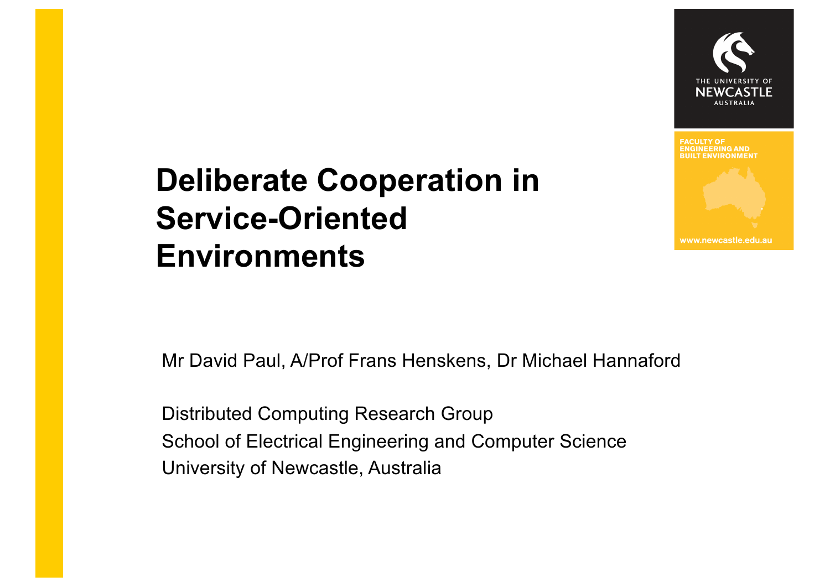

www.newcastle.edu.au

# **Deliberate Cooperation in Service-Oriented Environments**

Mr David Paul, A/Prof Frans Henskens, Dr Michael Hannaford

Distributed Computing Research Group School of Electrical Engineering and Computer Science University of Newcastle, Australia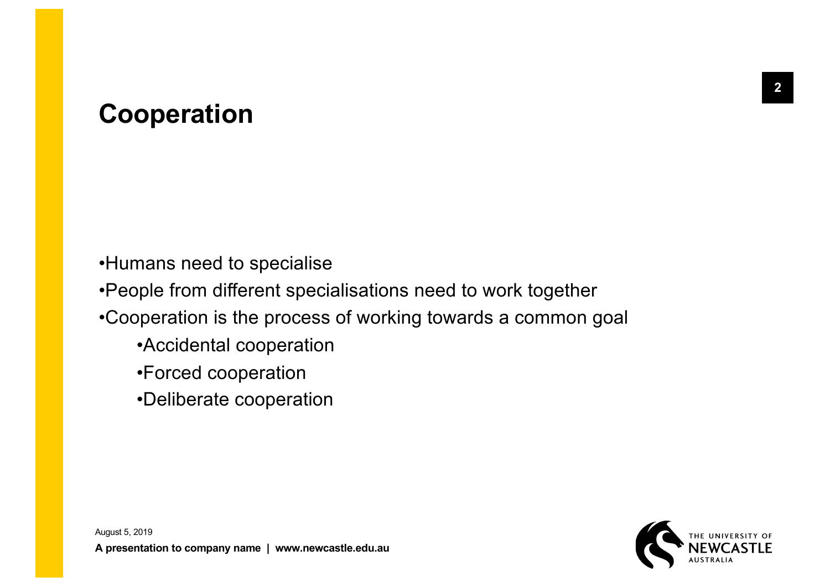# **Cooperation**

•Humans need to specialise

•People from different specialisations need to work together

•Cooperation is the process of working towards a common goal

- •Accidental cooperation
- •Forced cooperation
- •Deliberate cooperation

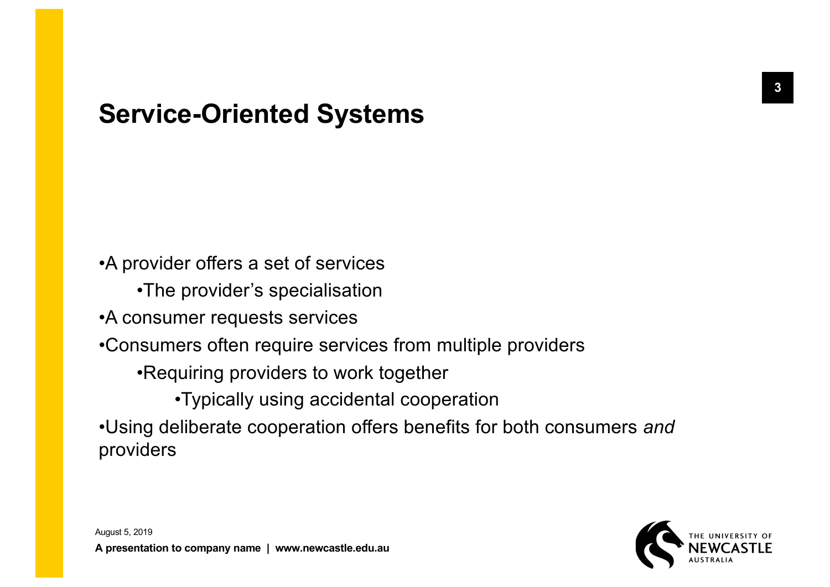## **Service-Oriented Systems**

•A provider offers a set of services

•The provider's specialisation

•A consumer requests services

•Consumers often require services from multiple providers

•Requiring providers to work together

•Typically using accidental cooperation

•Using deliberate cooperation offers benefits for both consumers *and* providers

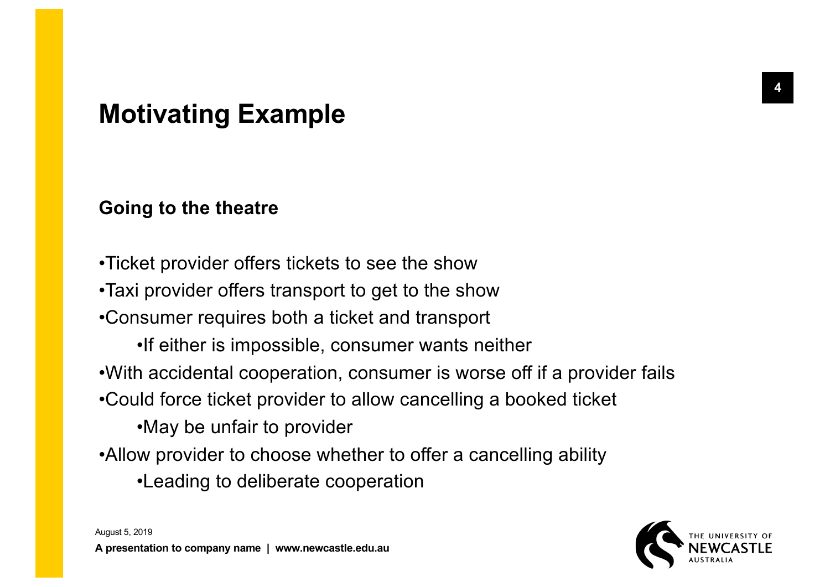# **Motivating Example**

### **Going to the theatre**

•Ticket provider offers tickets to see the show

•Taxi provider offers transport to get to the show

•Consumer requires both a ticket and transport

•If either is impossible, consumer wants neither

•With accidental cooperation, consumer is worse off if a provider fails

•Could force ticket provider to allow cancelling a booked ticket

•May be unfair to provider

- •Allow provider to choose whether to offer a cancelling ability
	- •Leading to deliberate cooperation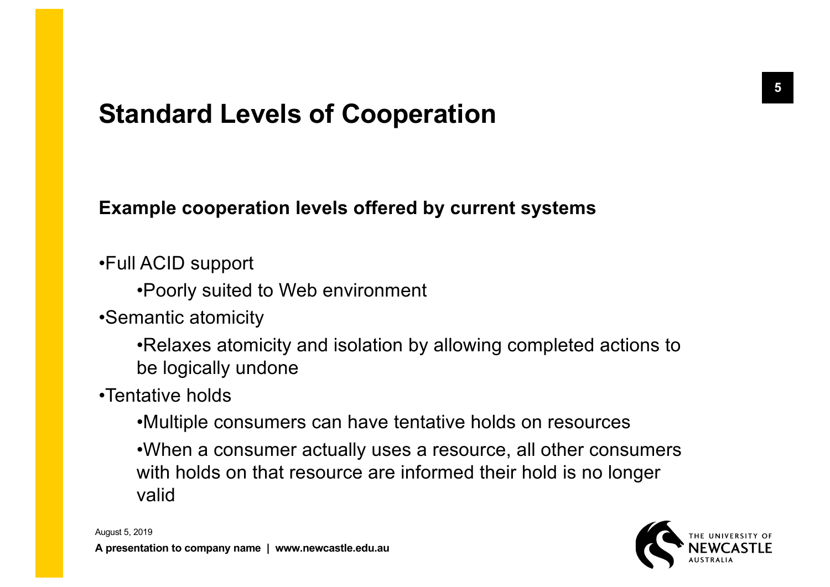# **Standard Levels of Cooperation**

### **Example cooperation levels offered by current systems**

•Full ACID support

•Poorly suited to Web environment

•Semantic atomicity

•Relaxes atomicity and isolation by allowing completed actions to be logically undone

•Tentative holds

•Multiple consumers can have tentative holds on resources

•When a consumer actually uses a resource, all other consumers with holds on that resource are informed their hold is no longer valid

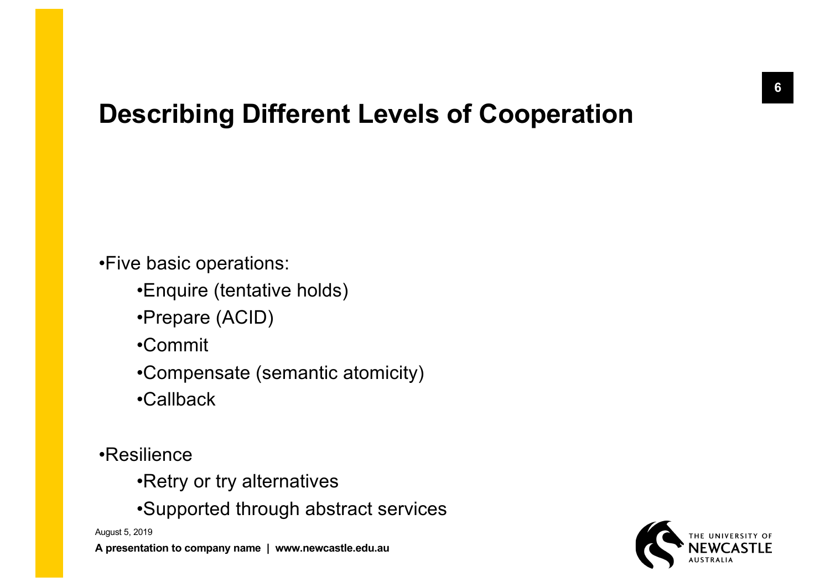# **Describing Different Levels of Cooperation**

•Five basic operations:

•Enquire (tentative holds)

•Prepare (ACID)

•Commit

•Compensate (semantic atomicity)

•Callback

•Resilience

•Retry or try alternatives

•Supported through abstract services

August 5, 2019

**A presentation to company name | www.newcastle.edu.au**

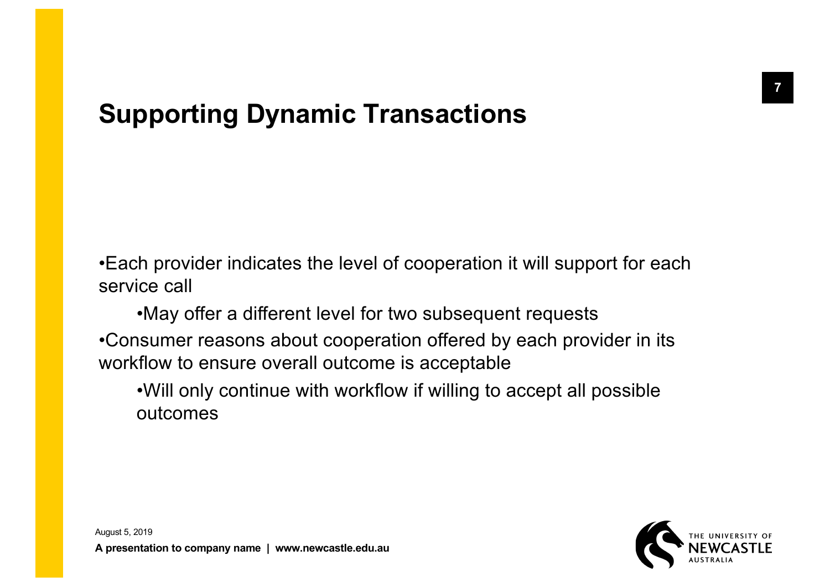# **Supporting Dynamic Transactions**

•Each provider indicates the level of cooperation it will support for each service call

•May offer a different level for two subsequent requests •Consumer reasons about cooperation offered by each provider in its workflow to ensure overall outcome is acceptable

•Will only continue with workflow if willing to accept all possible outcomes

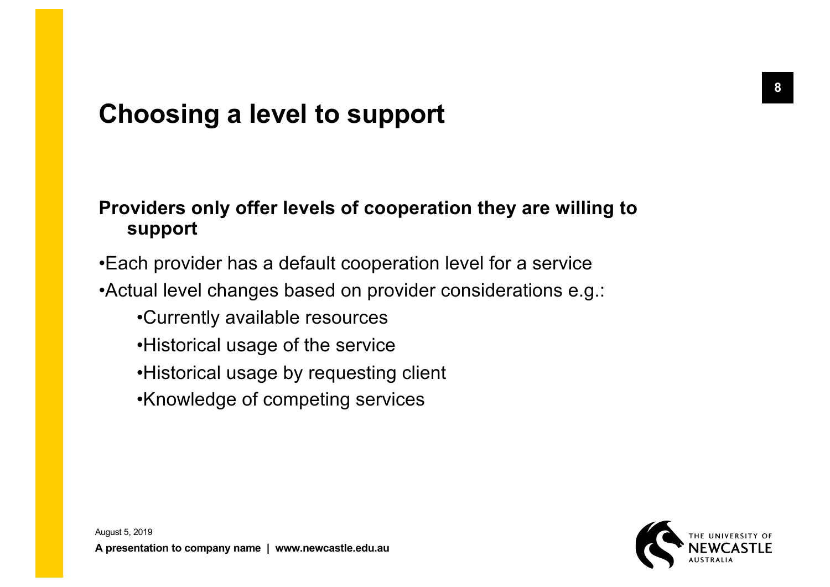# **Choosing a level to support**

### **Providers only offer levels of cooperation they are willing to support**

•Each provider has a default cooperation level for a service

•Actual level changes based on provider considerations e.g.:

- •Currently available resources
- •Historical usage of the service
- •Historical usage by requesting client
- •Knowledge of competing services

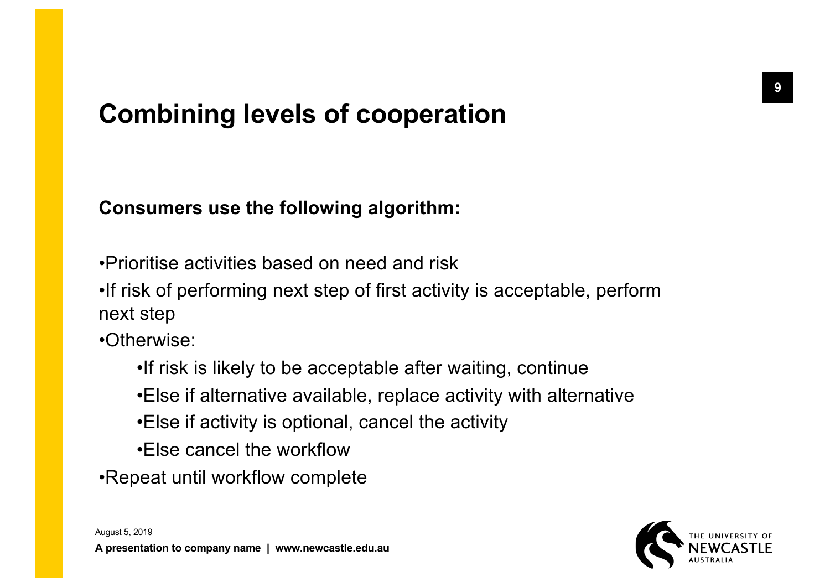# **Combining levels of cooperation**

### **Consumers use the following algorithm:**

- •Prioritise activities based on need and risk
- •If risk of performing next step of first activity is acceptable, perform next step
- •Otherwise:
	- •If risk is likely to be acceptable after waiting, continue
	- •Else if alternative available, replace activity with alternative
	- •Else if activity is optional, cancel the activity
	- •Else cancel the workflow
- •Repeat until workflow complete

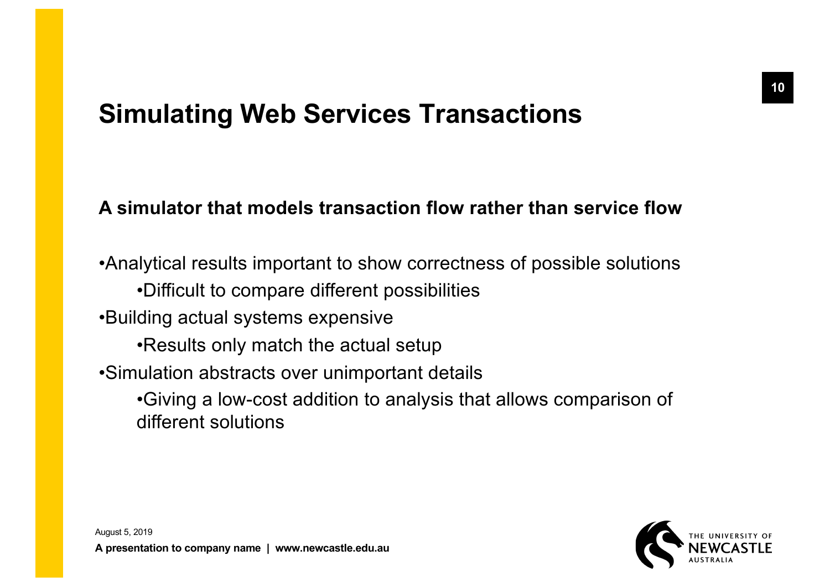# **Simulating Web Services Transactions**

### **A simulator that models transaction flow rather than service flow**

•Analytical results important to show correctness of possible solutions •Difficult to compare different possibilities •Building actual systems expensive •Results only match the actual setup •Simulation abstracts over unimportant details •Giving a low-cost addition to analysis that allows comparison of different solutions

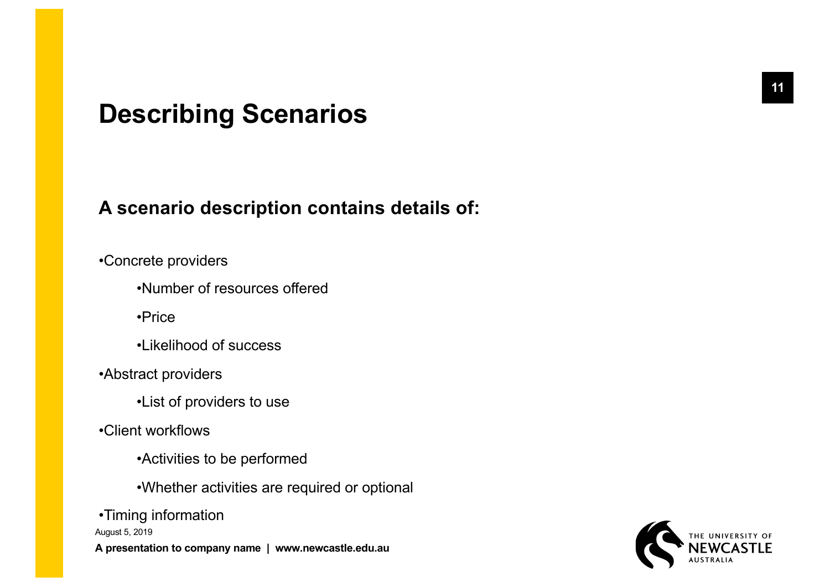### **Describing Scenarios**

#### **A scenario description contains details of:**

#### •Concrete providers

•Number of resources offered

•Price

•Likelihood of success

•Abstract providers

•List of providers to use

•Client workflows

•Activities to be performed

•Whether activities are required or optional

August 5, 2019 **A presentation to company name | www.newcastle.edu.au** •Timing information

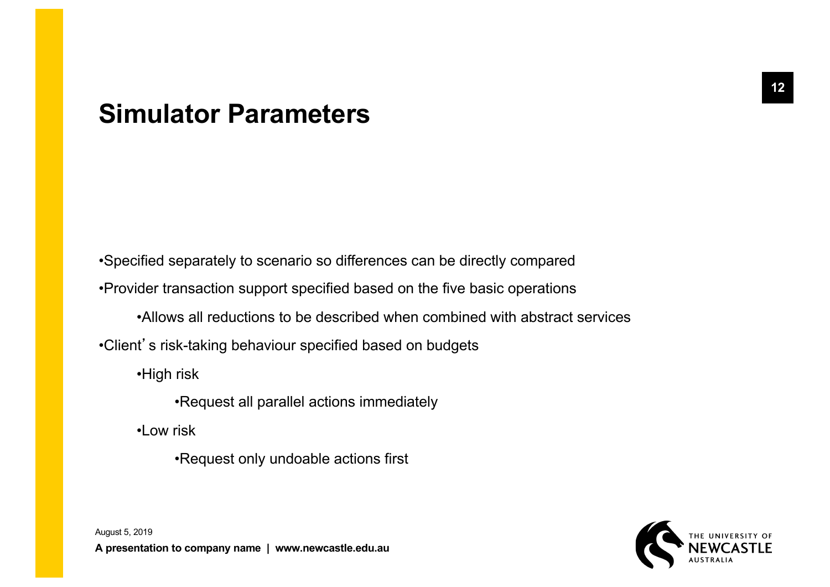### **Simulator Parameters**

•Specified separately to scenario so differences can be directly compared •Provider transaction support specified based on the five basic operations •Allows all reductions to be described when combined with abstract services •Client's risk-taking behaviour specified based on budgets

•High risk

•Request all parallel actions immediately

•Low risk

•Request only undoable actions first

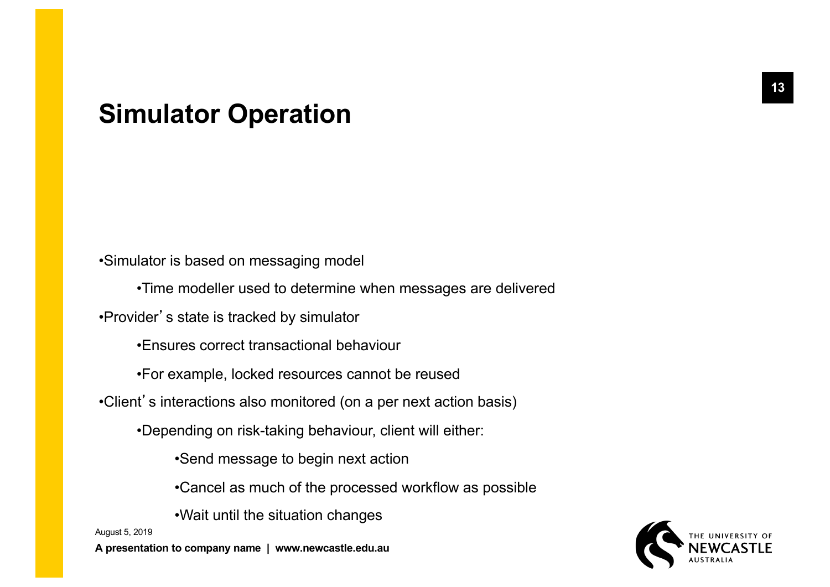### **Simulator Operation**

•Simulator is based on messaging model

•Time modeller used to determine when messages are delivered

•Provider's state is tracked by simulator

•Ensures correct transactional behaviour

•For example, locked resources cannot be reused

•Client's interactions also monitored (on a per next action basis)

•Depending on risk-taking behaviour, client will either:

•Send message to begin next action

•Cancel as much of the processed workflow as possible

•Wait until the situation changes

August 5, 2019

**A presentation to company name | www.newcastle.edu.au**

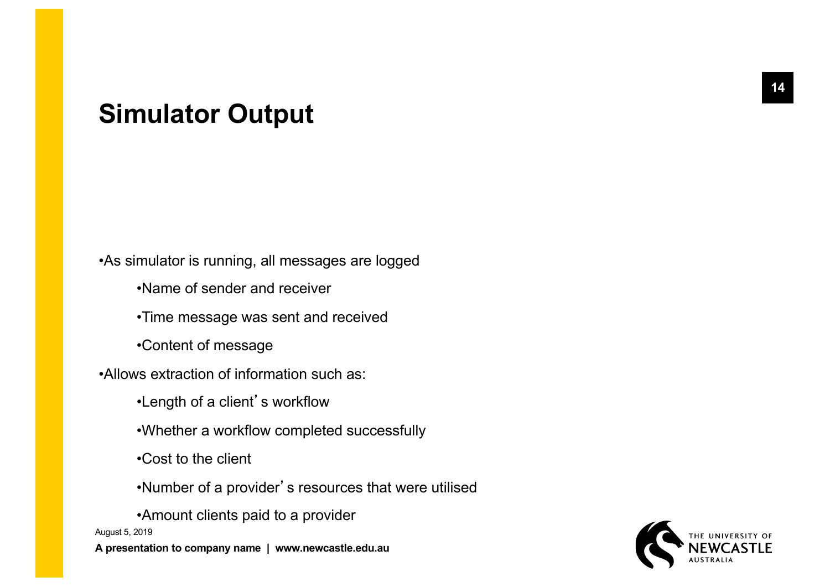### **Simulator Output**

•As simulator is running, all messages are logged

- •Name of sender and receiver
- •Time message was sent and received
- •Content of message
- •Allows extraction of information such as:
	- •Length of a client's workflow
	- •Whether a workflow completed successfully
	- •Cost to the client
	- •Number of a provider's resources that were utilised

August 5, 2019 **A presentation to company name | www.newcastle.edu.au** •Amount clients paid to a provider

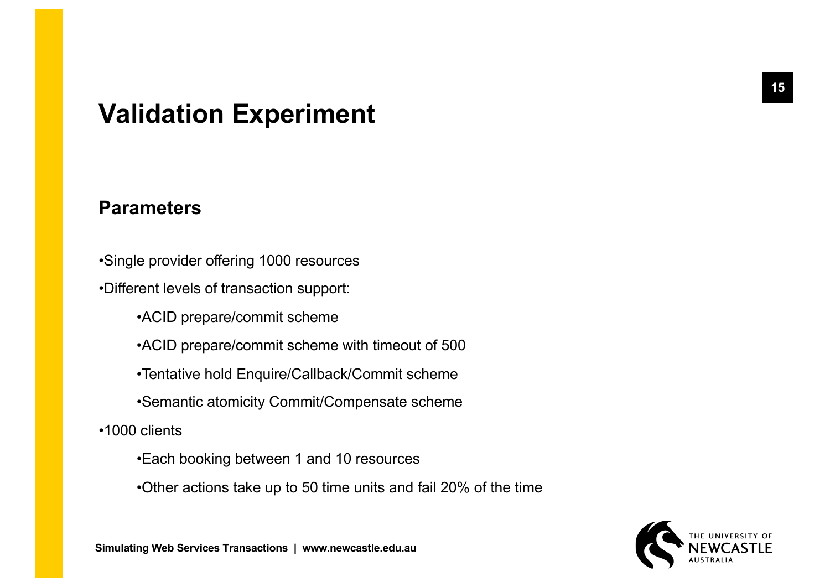### **Validation Experiment**

#### **Parameters**

- •Single provider offering 1000 resources
- •Different levels of transaction support:
	- •ACID prepare/commit scheme
	- •ACID prepare/commit scheme with timeout of 500
	- •Tentative hold Enquire/Callback/Commit scheme
	- •Semantic atomicity Commit/Compensate scheme
- •1000 clients
	- •Each booking between 1 and 10 resources
	- •Other actions take up to 50 time units and fail 20% of the time

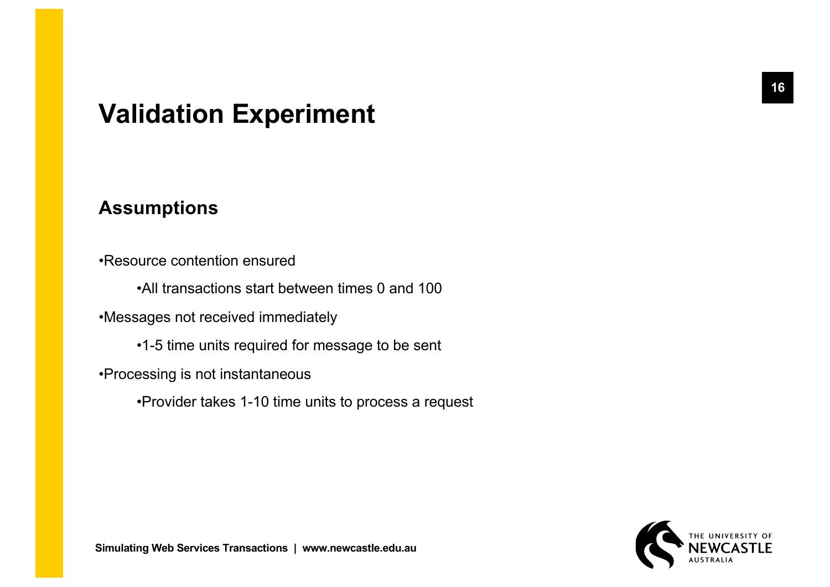# **Validation Experiment**

#### **Assumptions**

•Resource contention ensured

•All transactions start between times 0 and 100

•Messages not received immediately

•1-5 time units required for message to be sent

•Processing is not instantaneous

•Provider takes 1-10 time units to process a request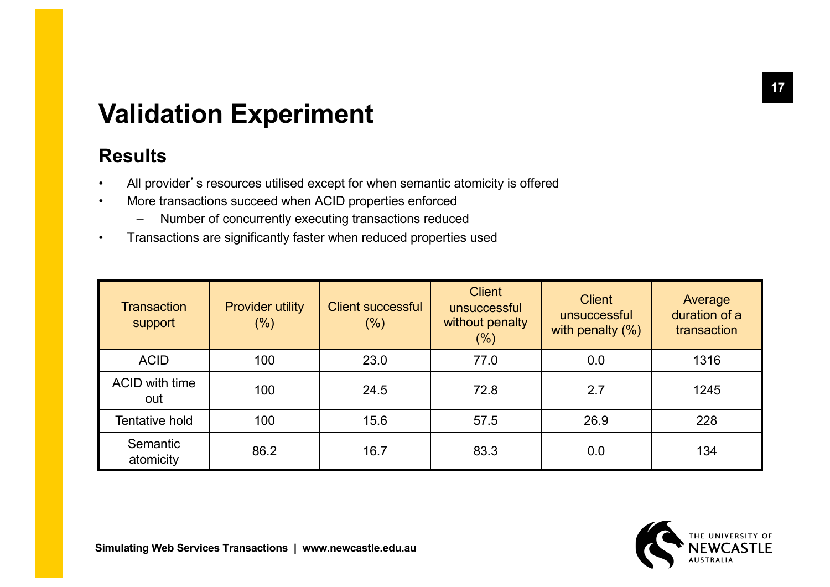# **Validation Experiment**

### **Results**

- All provider's resources utilised except for when semantic atomicity is offered
- More transactions succeed when ACID properties enforced
	- Number of concurrently executing transactions reduced
- Transactions are significantly faster when reduced properties used

| <b>Transaction</b><br>support | <b>Provider utility</b><br>$(\%)$ | <b>Client successful</b><br>$(\% )$ | <b>Client</b><br>unsuccessful<br>without penalty<br>$(\% )$ | <b>Client</b><br>unsuccessful<br>with penalty $(\%)$ | Average<br>duration of a<br>transaction |
|-------------------------------|-----------------------------------|-------------------------------------|-------------------------------------------------------------|------------------------------------------------------|-----------------------------------------|
| <b>ACID</b>                   | 100                               | 23.0                                | 77.0                                                        | 0.0                                                  | 1316                                    |
| ACID with time<br>out         | 100                               | 24.5                                | 72.8                                                        | 2.7                                                  | 1245                                    |
| <b>Tentative hold</b>         | 100                               | 15.6                                | 57.5                                                        | 26.9                                                 | 228                                     |
| Semantic<br>atomicity         | 86.2                              | 16.7                                | 83.3                                                        | 0.0                                                  | 134                                     |

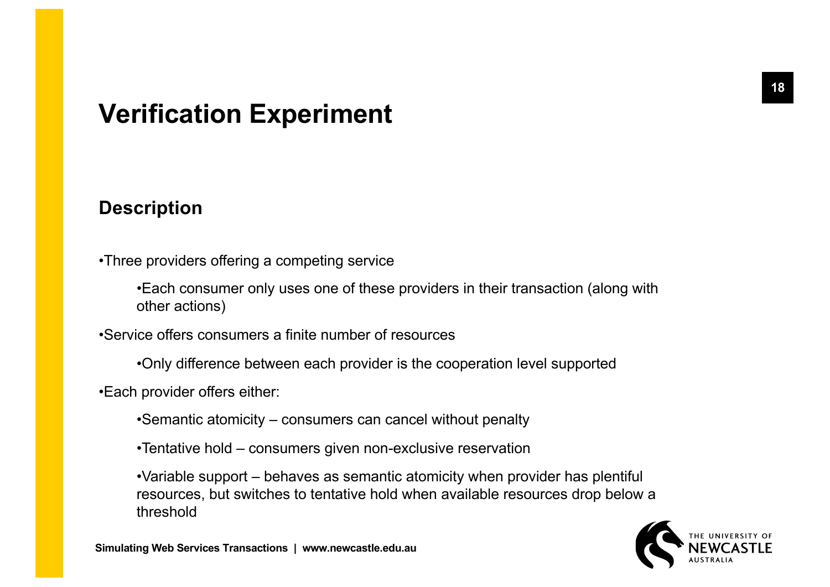# **Verification Experiment**

#### **Description**

- •Three providers offering a competing service
	- •Each consumer only uses one of these providers in their transaction (along with other actions)
- •Service offers consumers a finite number of resources
	- •Only difference between each provider is the cooperation level supported
- •Each provider offers either:
	- •Semantic atomicity consumers can cancel without penalty
	- •Tentative hold consumers given non-exclusive reservation
	- •Variable support behaves as semantic atomicity when provider has plentiful resources, but switches to tentative hold when available resources drop below a threshold

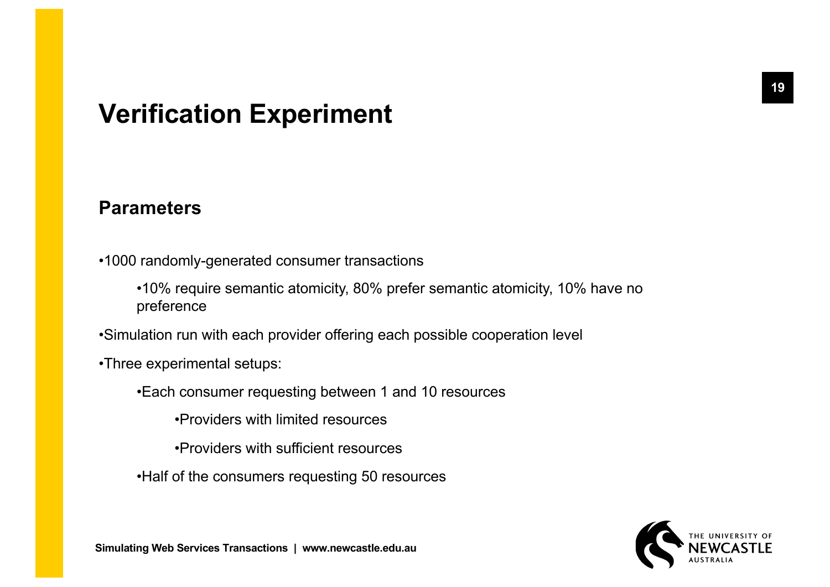# **Verification Experiment**

#### **Parameters**

- •1000 randomly-generated consumer transactions
	- •10% require semantic atomicity, 80% prefer semantic atomicity, 10% have no preference
- •Simulation run with each provider offering each possible cooperation level
- •Three experimental setups:
	- •Each consumer requesting between 1 and 10 resources
		- •Providers with limited resources
		- •Providers with sufficient resources
	- •Half of the consumers requesting 50 resources

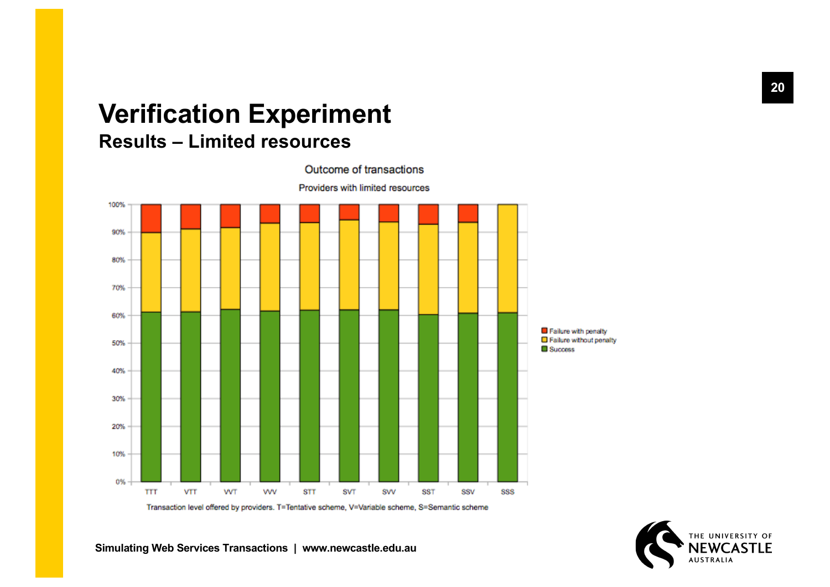### **Verification Experiment Results – Limited resources**



Transaction level offered by providers. T=Tentative scheme, V=Variable scheme, S=Semantic scheme

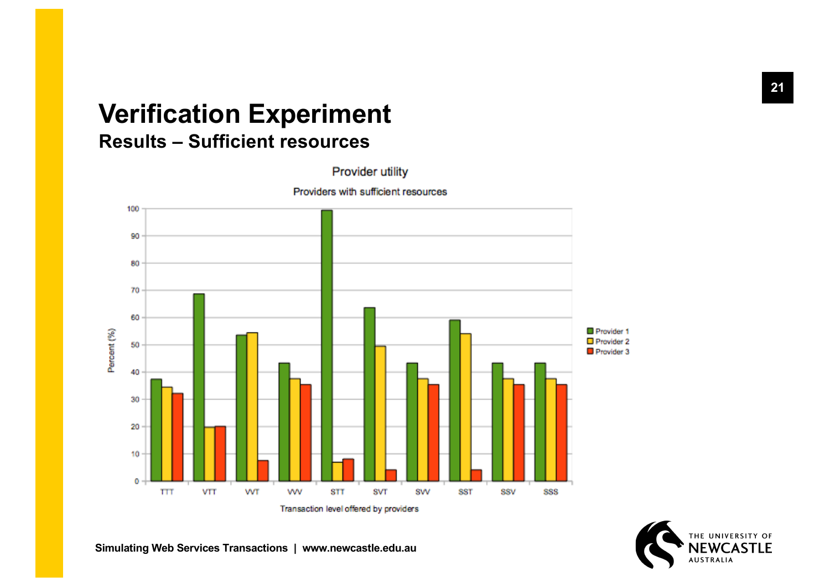# **Verification Experiment**

### **Results – Sufficient resources**

Provider utility



Providers with sufficient resources

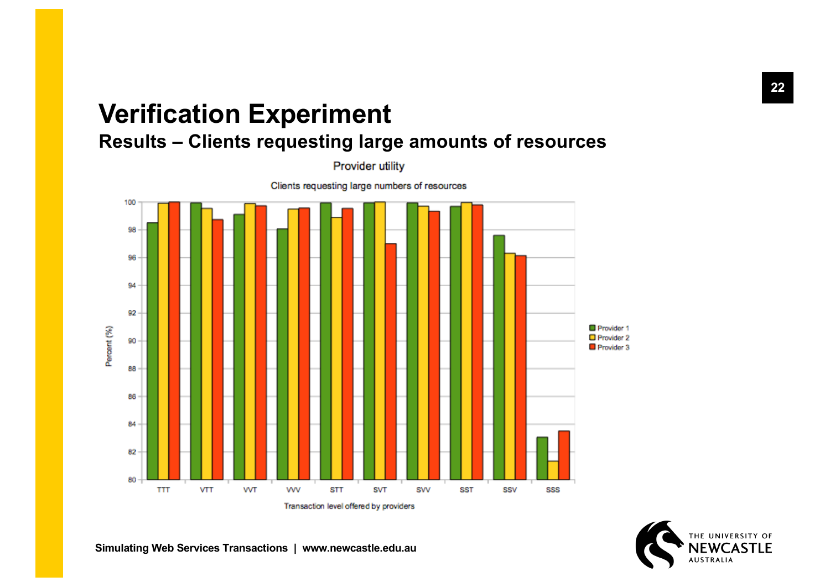# **Verification Experiment**

**Results – Clients requesting large amounts of resources**

Provider utility



Transaction level offered by providers